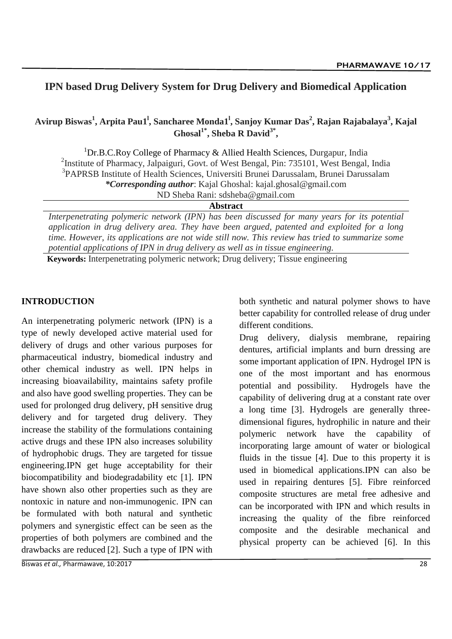# **IPN based Drug Delivery System for Drug Delivery and Biomedical Application**

**Avirup Biswas<sup>1</sup> , Arpita Pau1<sup>l</sup> , Sancharee Monda1<sup>l</sup> , Sanjoy Kumar Das<sup>2</sup> , Rajan Rajabalaya<sup>3</sup> , Kajal Ghosal1\*, Sheba R David3\* ,** 

<sup>1</sup>Dr.B.C.Roy College of Pharmacy & Allied Health Sciences, Durgapur, India <sup>2</sup>Institute of Pharmacy, Jalpaiguri, Govt. of West Bengal, Pin: 735101, West Bengal, India 3 PAPRSB Institute of Health Sciences, Universiti Brunei Darussalam, Brunei Darussalam *\*Corresponding author*: Kajal Ghoshal: kajal.ghosal@gmail.com ND Sheba Rani: sdsheba@gmail.com

### **Abstract**

*Interpenetrating polymeric network (IPN) has been discussed for many years for its potential application in drug delivery area. They have been argued, patented and exploited for a long time. However, its applications are not wide still now. This review has tried to summarize some potential applications of IPN in drug delivery as well as in tissue engineering.*

**Keywords:** Interpenetrating polymeric network; Drug delivery; Tissue engineering

## **INTRODUCTION**

An interpenetrating polymeric network (IPN) is a type of newly developed active material used for delivery of drugs and other various purposes for pharmaceutical industry, biomedical industry and other chemical industry as well. IPN helps in increasing bioavailability, maintains safety profile and also have good swelling properties. They can be used for prolonged drug delivery, pH sensitive drug delivery and for targeted drug delivery. They increase the stability of the formulations containing active drugs and these IPN also increases solubility of hydrophobic drugs. They are targeted for tissue engineering.IPN get huge acceptability for their biocompatibility and biodegradability etc [1]. IPN have shown also other properties such as they are nontoxic in nature and non-immunogenic. IPN can be formulated with both natural and synthetic polymers and synergistic effect can be seen as the properties of both polymers are combined and the drawbacks are reduced [2]. Such a type of IPN with

Biswas *et al.,* Pharmawave, 10:201728

both synthetic and natural polymer shows to have better capability for controlled release of drug under different conditions.

Drug delivery, dialysis membrane, repairing dentures, artificial implants and burn dressing are some important application of IPN. Hydrogel IPN is one of the most important and has enormous potential and possibility. Hydrogels have the capability of delivering drug at a constant rate over a long time [3]. Hydrogels are generally threedimensional figures, hydrophilic in nature and their polymeric network have the capability of incorporating large amount of water or biological fluids in the tissue [4]. Due to this property it is used in biomedical applications.IPN can also be used in repairing dentures [5]. Fibre reinforced composite structures are metal free adhesive and can be incorporated with IPN and which results in increasing the quality of the fibre reinforced composite and the desirable mechanical and physical property can be achieved [6]. In this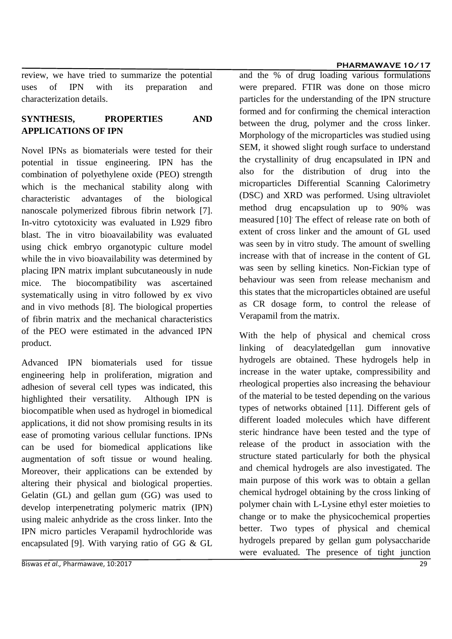#### **PHARMAWAVE 10/17**

review, we have tried to summarize the potential uses of IPN with its preparation and characterization details.

# **SYNTHESIS, PROPERTIES AND APPLICATIONS OF IPN**

Novel IPNs as biomaterials were tested for their potential in tissue engineering. IPN has the combination of polyethylene oxide (PEO) strength which is the mechanical stability along with characteristic advantages of the biological nanoscale polymerized fibrous fibrin network [7]. In-vitro cytotoxicity was evaluated in L929 fibro blast. The in vitro bioavailability was evaluated using chick embryo organotypic culture model while the in vivo bioavailability was determined by placing IPN matrix implant subcutaneously in nude mice. The biocompatibility was ascertained systematically using in vitro followed by ex vivo and in vivo methods [8]. The biological properties of fibrin matrix and the mechanical characteristics of the PEO were estimated in the advanced IPN product.

Advanced IPN biomaterials used for tissue engineering help in proliferation, migration and adhesion of several cell types was indicated, this highlighted their versatility. Although IPN is biocompatible when used as hydrogel in biomedical applications, it did not show promising results in its ease of promoting various cellular functions. IPNs can be used for biomedical applications like augmentation of soft tissue or wound healing. Moreover, their applications can be extended by altering their physical and biological properties. Gelatin (GL) and gellan gum (GG) was used to develop interpenetrating polymeric matrix (IPN) using maleic anhydride as the cross linker. Into the IPN micro particles Verapamil hydrochloride was encapsulated [9]. With varying ratio of GG & GL and the % of drug loading various formulations were prepared. FTIR was done on those micro particles for the understanding of the IPN structure formed and for confirming the chemical interaction between the drug, polymer and the cross linker. Morphology of the microparticles was studied using SEM, it showed slight rough surface to understand the crystallinity of drug encapsulated in IPN and also for the distribution of drug into the microparticles Differential Scanning Calorimetry (DSC) and XRD was performed. Using ultraviolet method drug encapsulation up to 90% was measured [10]. The effect of release rate on both of extent of cross linker and the amount of GL used was seen by in vitro study. The amount of swelling increase with that of increase in the content of GL was seen by selling kinetics. Non-Fickian type of behaviour was seen from release mechanism and this states that the microparticles obtained are useful as CR dosage form, to control the release of Verapamil from the matrix.

With the help of physical and chemical cross linking of deacylatedgellan gum innovative hydrogels are obtained. These hydrogels help in increase in the water uptake, compressibility and rheological properties also increasing the behaviour of the material to be tested depending on the various types of networks obtained [11]. Different gels of different loaded molecules which have different steric hindrance have been tested and the type of release of the product in association with the structure stated particularly for both the physical and chemical hydrogels are also investigated. The main purpose of this work was to obtain a gellan chemical hydrogel obtaining by the cross linking of polymer chain with L-Lysine ethyl ester moieties to change or to make the physicochemical properties better. Two types of physical and chemical hydrogels prepared by gellan gum polysaccharide were evaluated. The presence of tight junction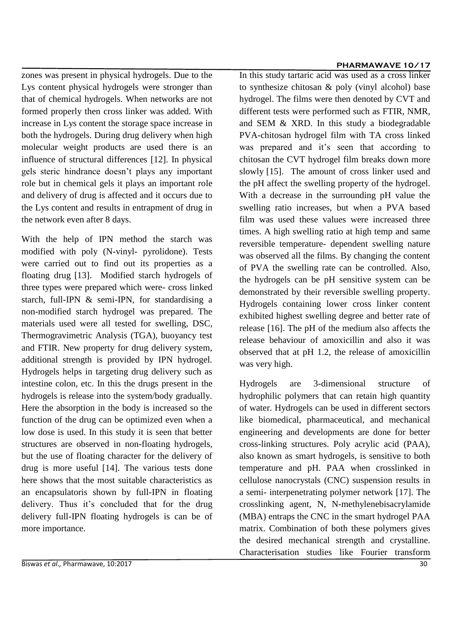#### **PHARMAWAVE 10/17**

zones was present in physical hydrogels. Due to the Lys content physical hydrogels were stronger than that of chemical hydrogels. When networks are not formed properly then cross linker was added. With increase in Lys content the storage space increase in both the hydrogels. During drug delivery when high molecular weight products are used there is an influence of structural differences [12]. In physical gels steric hindrance doesn't plays any important role but in chemical gels it plays an important role and delivery of drug is affected and it occurs due to the Lys content and results in entrapment of drug in the network even after 8 days.

With the help of IPN method the starch was modified with poly (N-vinyl- pyrolidone). Tests were carried out to find out its properties as a floating drug [13]. Modified starch hydrogels of three types were prepared which were- cross linked starch, full-IPN & semi-IPN, for standardising a non-modified starch hydrogel was prepared. The materials used were all tested for swelling, DSC, Thermogravimetric Analysis (TGA), buoyancy test and FTIR. New property for drug delivery system, additional strength is provided by IPN hydrogel. Hydrogels helps in targeting drug delivery such as intestine colon, etc. In this the drugs present in the hydrogels is release into the system/body gradually. Here the absorption in the body is increased so the function of the drug can be optimized even when a low dose is used. In this study it is seen that better structures are observed in non-floating hydrogels, but the use of floating character for the delivery of drug is more useful [14]. The various tests done here shows that the most suitable characteristics as an encapsulatoris shown by full-IPN in floating delivery. Thus it's concluded that for the drug delivery full-IPN floating hydrogels is can be of more importance.

to synthesize chitosan & poly (vinyl alcohol) base hydrogel. The films were then denoted by CVT and different tests were performed such as FTIR, NMR, and SEM & XRD. In this study a biodegradable PVA-chitosan hydrogel film with TA cross linked was prepared and it's seen that according to chitosan the CVT hydrogel film breaks down more slowly [15]. The amount of cross linker used and the pH affect the swelling property of the hydrogel. With a decrease in the surrounding pH value the swelling ratio increases, but when a PVA based film was used these values were increased three times. A high swelling ratio at high temp and same reversible temperature- dependent swelling nature was observed all the films. By changing the content of PVA the swelling rate can be controlled. Also, the hydrogels can be pH sensitive system can be demonstrated by their reversible swelling property. Hydrogels containing lower cross linker content exhibited highest swelling degree and better rate of release [16]. The pH of the medium also affects the release behaviour of amoxicillin and also it was observed that at pH 1.2, the release of amoxicillin was very high.

In this study tartaric acid was used as a cross linker

Hydrogels are 3-dimensional structure of hydrophilic polymers that can retain high quantity of water. Hydrogels can be used in different sectors like biomedical, pharmaceutical, and mechanical engineering and developments are done for better cross-linking structures. Poly acrylic acid (PAA), also known as smart hydrogels, is sensitive to both temperature and pH. PAA when crosslinked in cellulose nanocrystals (CNC) suspension results in a semi- interpenetrating polymer network [17]. The crosslinking agent, N, N-methylenebisacrylamide (MBA) entraps the CNC in the smart hydrogel PAA matrix. Combination of both these polymers gives the desired mechanical strength and crystalline. Characterisation studies like Fourier transform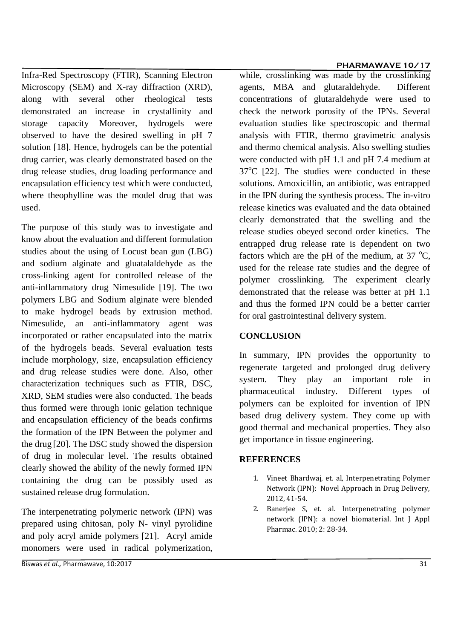Infra-Red Spectroscopy (FTIR), Scanning Electron Microscopy (SEM) and X-ray diffraction (XRD), along with several other rheological tests demonstrated an increase in crystallinity and storage capacity Moreover, hydrogels were observed to have the desired swelling in pH 7 solution [18]. Hence, hydrogels can be the potential drug carrier, was clearly demonstrated based on the drug release studies, drug loading performance and encapsulation efficiency test which were conducted, where theophylline was the model drug that was used.

The purpose of this study was to investigate and know about the evaluation and different formulation studies about the using of Locust bean gun (LBG) and sodium alginate and gluatalaldehyde as the cross-linking agent for controlled release of the anti-inflammatory drug Nimesulide [19]. The two polymers LBG and Sodium alginate were blended to make hydrogel beads by extrusion method. Nimesulide, an anti-inflammatory agent was incorporated or rather encapsulated into the matrix of the hydrogels beads. Several evaluation tests include morphology, size, encapsulation efficiency and drug release studies were done. Also, other characterization techniques such as FTIR, DSC, XRD, SEM studies were also conducted. The beads thus formed were through ionic gelation technique and encapsulation efficiency of the beads confirms the formation of the IPN Between the polymer and the drug [20]. The DSC study showed the dispersion of drug in molecular level. The results obtained clearly showed the ability of the newly formed IPN containing the drug can be possibly used as sustained release drug formulation.

The interpenetrating polymeric network (IPN) was prepared using chitosan, poly N- vinyl pyrolidine and poly acryl amide polymers [21]. Acryl amide monomers were used in radical polymerization,

# **PHARMAWAVE 10/17**

while, crosslinking was made by the crosslinking agents, MBA and glutaraldehyde. Different concentrations of glutaraldehyde were used to check the network porosity of the IPNs. Several evaluation studies like spectroscopic and thermal analysis with FTIR, thermo gravimetric analysis and thermo chemical analysis. Also swelling studies were conducted with pH 1.1 and pH 7.4 medium at  $37^{\circ}$ C [22]. The studies were conducted in these solutions. Amoxicillin, an antibiotic, was entrapped in the IPN during the synthesis process. The in-vitro release kinetics was evaluated and the data obtained clearly demonstrated that the swelling and the release studies obeyed second order kinetics. The entrapped drug release rate is dependent on two factors which are the pH of the medium, at  $37 \text{ °C}$ , used for the release rate studies and the degree of polymer crosslinking. The experiment clearly demonstrated that the release was better at pH 1.1 and thus the formed IPN could be a better carrier for oral gastrointestinal delivery system.

## **CONCLUSION**

In summary, IPN provides the opportunity to regenerate targeted and prolonged drug delivery system. They play an important role in pharmaceutical industry. Different types of polymers can be exploited for invention of IPN based drug delivery system. They come up with good thermal and mechanical properties. They also get importance in tissue engineering.

### **REFERENCES**

- 1. Vineet Bhardwaj, et. al, Interpenetrating Polymer Network (IPN): Novel Approach in Drug Delivery, 2012, 41-54.
- 2. Banerjee S, et. al. Interpenetrating polymer network (IPN): a novel biomaterial. Int J Appl Pharmac. 2010; 2: 28-34.